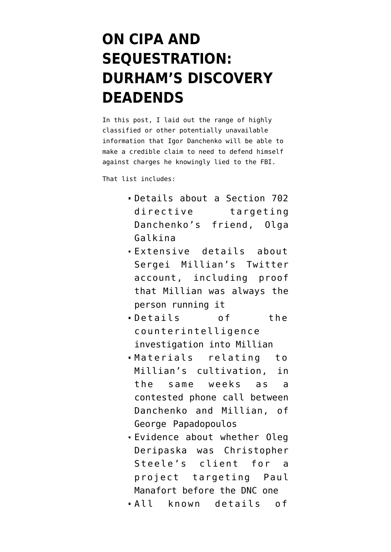## **[ON CIPA AND](https://www.emptywheel.net/2021/11/21/on-cipa-and-sequestration-durhams-discovery-deadends/) [SEQUESTRATION:](https://www.emptywheel.net/2021/11/21/on-cipa-and-sequestration-durhams-discovery-deadends/) [DURHAM'S DISCOVERY](https://www.emptywheel.net/2021/11/21/on-cipa-and-sequestration-durhams-discovery-deadends/) [DEADENDS](https://www.emptywheel.net/2021/11/21/on-cipa-and-sequestration-durhams-discovery-deadends/)**

In [this post](https://www.emptywheel.net/2021/11/15/john-durham-destroying-the-purported-victims-to-save-them/), I laid out the range of highly classified or other potentially unavailable information that Igor Danchenko will be able to make a credible claim to need to defend himself against [charges](https://www.documentcloud.org/documents/21115093-211103-danchenko-indictment) he knowingly lied to the FBI.

That list includes:

- Details about a Section 702 directive targeting Danchenko's friend, Olga Galkina
- Extensive details about Sergei Millian's Twitter account, including proof that Millian was always the person running it
- Details of the counterintelligence investigation into Millian
- Materials relating to Millian's cultivation, in the same weeks as a contested phone call between Danchenko and Millian, of George Papadopoulos
- Evidence about whether Oleg Deripaska was Christopher Steele's client for a project targeting Paul Manafort before the DNC one
- All known details of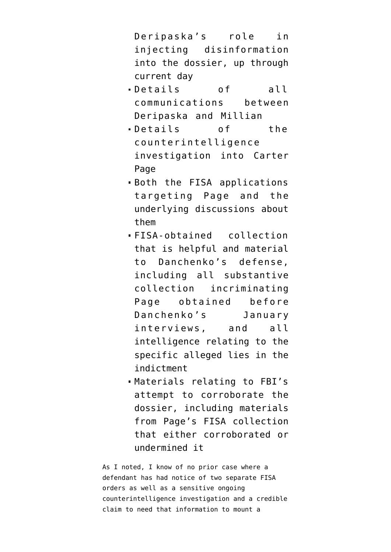Deripaska's role in injecting disinformation into the dossier, up through current day

- Details of all communications between Deripaska and Millian
- Details of the counterintelligence investigation into Carter Page
- Both the FISA applications targeting Page and the underlying discussions about them
- FISA-obtained collection that is helpful and material to Danchenko's defense, including all substantive collection incriminating Page obtained before Danchenko's January interviews, and all intelligence relating to the specific alleged lies in the indictment
- Materials relating to FBI's attempt to corroborate the dossier, including materials from Page's FISA collection that either corroborated or undermined it

As I noted, I know of no prior case where a defendant has had notice of two separate FISA orders as well as a sensitive ongoing counterintelligence investigation and a credible claim to need that information to mount a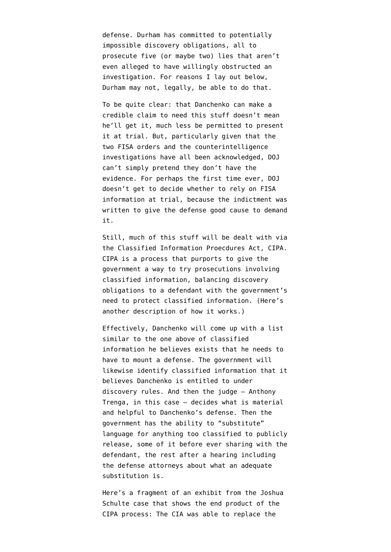defense. Durham has committed to potentially impossible discovery obligations, all to prosecute five (or maybe two) lies that aren't even alleged to have willingly obstructed an investigation. For reasons I lay out below, Durham may not, legally, be able to do that.

To be quite clear: that Danchenko can make a credible claim to need this stuff doesn't mean he'll get it, much less be permitted to present it at trial. But, particularly given that the two FISA orders and the counterintelligence investigations have all been acknowledged, DOJ can't simply pretend they don't have the evidence. For perhaps the first time ever, DOJ doesn't get to decide whether to rely on FISA information at trial, because the indictment was written to give the defense good cause to demand it.

Still, much of this stuff will be dealt with via the [Classified Information Proecdures Act,](https://www.justice.gov/archives/jm/criminal-resource-manual-2054-synopsis-classified-information-procedures-act-cipa) CIPA. CIPA is a process that purports to give the government a way to try prosecutions involving classified information, balancing discovery obligations to a defendant with the government's need to protect classified information. (Here's [another description](https://www.lawfareblog.com/classified-information-procedures-act-what-it-means-and-how-its-applied) of how it works.)

Effectively, Danchenko will come up with a list similar to the one above of classified information he believes exists that he needs to have to mount a defense. The government will likewise identify classified information that it believes Danchenko is entitled to under discovery rules. And then the judge — Anthony Trenga, in this case — decides what is material and helpful to Danchenko's defense. Then the government has the ability to "substitute" language for anything too classified to publicly release, some of it before ever sharing with the defendant, the rest after a hearing including the defense attorneys about what an adequate substitution is.

Here's a [fragment of an exhibit](https://www.documentcloud.org/documents/6797419-Exhibit-809-Notebook-3) from the Joshua Schulte case that shows the end product of the CIPA process: The CIA was able to replace the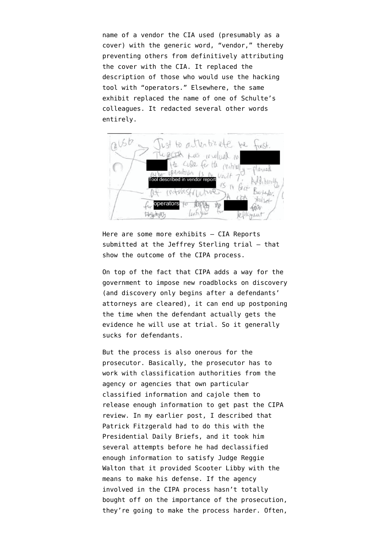name of a vendor the CIA used (presumably as a cover) with the generic word, "vendor," thereby preventing others from definitively attributing the cover with the CIA. It replaced the description of those who would use the hacking tool with "operators." Elsewhere, the same exhibit replaced the name of one of Schulte's colleagues. It redacted several other words entirely.



Here are some more exhibits — [CIA Reports](https://sgp.fas.org/jud/sterling/govt-exh-399.pdf) [submitted](https://sgp.fas.org/jud/sterling/govt-exh-399.pdf) at the Jeffrey Sterling trial — that show the outcome of the CIPA process.

On top of the fact that CIPA adds a way for the government to impose new roadblocks on discovery (and discovery only begins after a defendants' attorneys are cleared), it can end up postponing the time when the defendant actually gets the evidence he will use at trial. So it generally sucks for defendants.

But the process is also onerous for the prosecutor. Basically, the prosecutor has to work with classification authorities from the agency or agencies that own particular classified information and cajole them to release enough information to get past the CIPA review. In [my earlier post,](https://www.emptywheel.net/2021/11/15/john-durham-destroying-the-purported-victims-to-save-them/) I described that Patrick Fitzgerald had to do this with the Presidential Daily Briefs, and it took him several attempts before he had declassified enough information to satisfy Judge Reggie Walton that it provided Scooter Libby with the means to make his defense. If the agency involved in the CIPA process hasn't totally bought off on the importance of the prosecution, they're going to make the process harder. Often,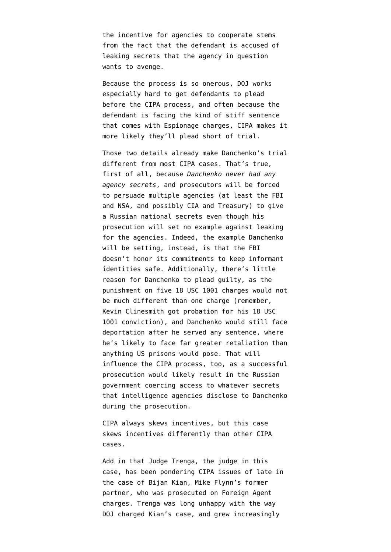the incentive for agencies to cooperate stems from the fact that the defendant is accused of leaking secrets that the agency in question wants to avenge.

Because the process is so onerous, DOJ works especially hard to get defendants to plead before the CIPA process, and often because the defendant is facing the kind of stiff sentence that comes with Espionage charges, CIPA makes it more likely they'll plead short of trial.

Those two details already make Danchenko's trial different from most CIPA cases. That's true, first of all, because *Danchenko never had any agency secrets*, and prosecutors will be forced to persuade multiple agencies (at least the FBI and NSA, and possibly CIA and Treasury) to give a Russian national secrets even though his prosecution will set no example against leaking for the agencies. Indeed, the example Danchenko will be setting, instead, is that the FBI doesn't honor its commitments to keep informant identities safe. Additionally, there's little reason for Danchenko to plead guilty, as the punishment on five [18 USC 1001](https://www.law.cornell.edu/uscode/text/18/1001) charges would not be much different than one charge (remember, Kevin Clinesmith got probation for his 18 USC 1001 conviction), and Danchenko would still face deportation after he served any sentence, where he's likely to face far greater retaliation than anything US prisons would pose. That will influence the CIPA process, too, as a successful prosecution would likely result in the Russian government coercing access to whatever secrets that intelligence agencies disclose to Danchenko during the prosecution.

CIPA always skews incentives, but this case skews incentives differently than other CIPA cases.

Add in that Judge Trenga, the judge in this case, has been pondering CIPA issues of late in the case of Bijan Kian, Mike Flynn's former partner, who was prosecuted on Foreign Agent charges. Trenga was [long unhappy](https://mobile.twitter.com/joshgerstein/status/1144948571906695169) with the way DOJ charged Kian's case, and grew increasingly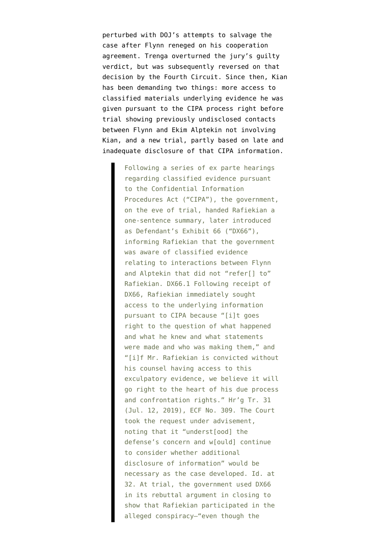perturbed with DOJ's attempts to salvage the case after Flynn reneged on his cooperation agreement. Trenga [overturned](https://www.politico.com/story/2019/09/25/judge-overturns-guilty-verdicts-bijan-rafiekian-1510719) the jury's guilty verdict, but was subsequently [reversed](https://www.yahoo.com/now/court-reinstates-guilty-verdicts-against-103039762.html) on that decision by the Fourth Circuit. Since then, Kian has been demanding two things: more access to classified materials underlying evidence he was given pursuant to the CIPA process right before trial showing previously undisclosed contacts between Flynn and Ekim Alptekin not involving Kian, and a new trial, [partly based on late and](https://storage.courtlistener.com/recap/gov.uscourts.vaed.400989/gov.uscourts.vaed.400989.387.0_2.pdf) [inadequate](https://storage.courtlistener.com/recap/gov.uscourts.vaed.400989/gov.uscourts.vaed.400989.387.0_2.pdf) disclosure of that CIPA information.

> Following a series of ex parte hearings regarding classified evidence pursuant to the Confidential Information Procedures Act ("CIPA"), the government, on the eve of trial, handed Rafiekian a one-sentence summary, later introduced as Defendant's Exhibit 66 ("DX66"), informing Rafiekian that the government was aware of classified evidence relating to interactions between Flynn and Alptekin that did not "refer[] to" Rafiekian. DX66.1 Following receipt of DX66, Rafiekian immediately sought access to the underlying information pursuant to CIPA because "[i]t goes right to the question of what happened and what he knew and what statements were made and who was making them," and "[i]f Mr. Rafiekian is convicted without his counsel having access to this exculpatory evidence, we believe it will go right to the heart of his due process and confrontation rights." Hr'g Tr. 31 (Jul. 12, 2019), ECF No. 309. The Court took the request under advisement, noting that it "underst[ood] the defense's concern and w[ould] continue to consider whether additional disclosure of information" would be necessary as the case developed. Id. at 32. At trial, the government used DX66 in its rebuttal argument in closing to show that Rafiekian participated in the alleged conspiracy—"even though the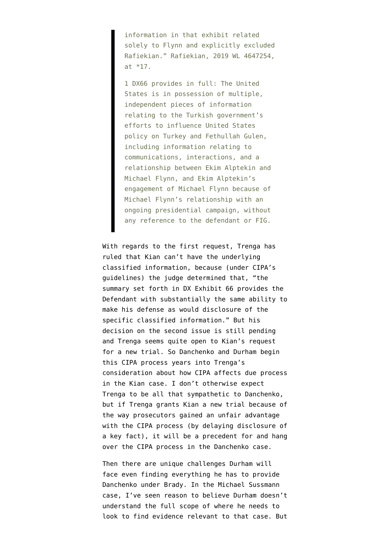information in that exhibit related solely to Flynn and explicitly excluded Rafiekian." Rafiekian, 2019 WL 4647254, at \*17.

1 DX66 provides in full: The United States is in possession of multiple, independent pieces of information relating to the Turkish government's efforts to influence United States policy on Turkey and Fethullah Gulen, including information relating to communications, interactions, and a relationship between Ekim Alptekin and Michael Flynn, and Ekim Alptekin's engagement of Michael Flynn because of Michael Flynn's relationship with an ongoing presidential campaign, without any reference to the defendant or FIG.

With regards to the first request, Trenga has [ruled](https://www.documentcloud.org/documents/21115092-211008-trenga-order-deny-cipa) that Kian can't have the underlying classified information, because (under CIPA's guidelines) the judge determined that, "the summary set forth in DX Exhibit 66 provides the Defendant with substantially the same ability to make his defense as would disclosure of the specific classified information." But his decision on the second issue is still pending and Trenga seems quite open to Kian's request for a new trial. So Danchenko and Durham begin this CIPA process years into Trenga's consideration about how CIPA affects due process in the Kian case. I don't otherwise expect Trenga to be all that sympathetic to Danchenko, but if Trenga grants Kian a new trial because of the way prosecutors gained an unfair advantage with the CIPA process (by delaying disclosure of a key fact), it will be a precedent for and hang over the CIPA process in the Danchenko case.

Then there are unique challenges Durham will face even finding everything he has to provide Danchenko under Brady. In the Michael Sussmann case, I've seen reason to believe Durham doesn't understand the full scope of where he needs to look to find evidence relevant to that case. But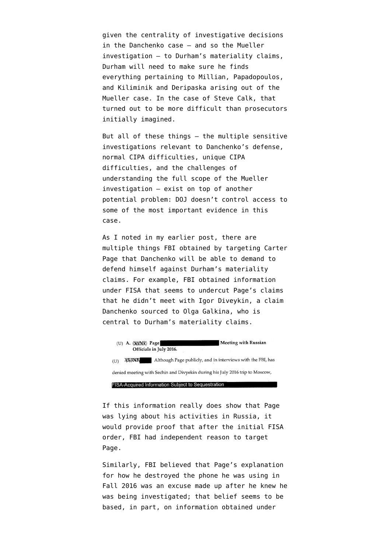given the centrality of investigative decisions in the Danchenko case — and so the Mueller investigation — to Durham's materiality claims, Durham will need to make sure he finds everything pertaining to Millian, Papadopoulos, and Kiliminik and Deripaska arising out of the Mueller case. In the case of Steve Calk, that [turned out to be more difficult](https://www.emptywheel.net/2020/08/12/a-newfound-obsession-with-manaforts-icloud-account/) than prosecutors initially imagined.

But all of these things — the multiple sensitive investigations relevant to Danchenko's defense, normal CIPA difficulties, unique CIPA difficulties, and the challenges of understanding the full scope of the Mueller investigation — exist on top of another potential problem: DOJ doesn't control access to some of the most important evidence in this case.

As [I noted in my earlier post](https://www.emptywheel.net/2021/11/15/john-durham-destroying-the-purported-victims-to-save-them/), there are multiple things FBI obtained by targeting Carter Page that Danchenko will be able to demand to defend himself against Durham's materiality claims. For example, FBI [obtained](https://www.documentcloud.org/documents/6842430-170629-Carter-Page-FISA-Application#document/p35/a560524) information under FISA that seems to undercut Page's claims that he didn't meet with Igor Diveykin, a claim Danchenko sourced to Olga Galkina, who is central to Durham's materiality claims.

(U) A. (SANR) Page **Meeting with Russian** Officials in July 2016. (U) XXXXXXX Although Page publicly, and in interviews with the FBI, has denied meeting with Sechin and Divyekin during his July 2016 trip to Moscow, FISA-Acquired Information Subject to Sequestration

If this information really does show that Page was lying about his activities in Russia, it would provide proof that after the initial FISA order, FBI had independent reason to target Page.

Similarly, FBI [believed](https://www.documentcloud.org/documents/6842430-170629-Carter-Page-FISA-Application#document/p37/a560526) that Page's explanation for how he destroyed the phone he was using in Fall 2016 was an excuse made up after he knew he was being investigated; that belief seems to be based, in part, on information obtained under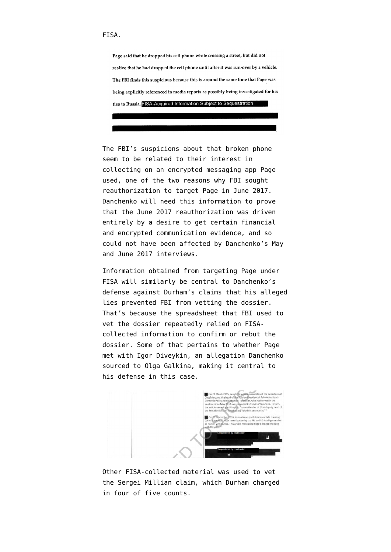## FISA.

Page said that he dropped his cell phone while crossing a street, but did not realize that he had dropped the cell phone until after it was run-over by a vehicle. The FBI finds this suspicious because this is around the same time that Page was being explicitly referenced in media reports as possibly being investigated for his ties to Russia. FISA-Acquired Information Subject to Sequestration

The FBI's suspicions about that broken phone seem to be related to their interest in collecting on an encrypted messaging app Page used, one of the two reasons why FBI sought reauthorization to target Page in June 2017. Danchenko will need this information to prove that the June 2017 reauthorization was driven entirely by a desire to get certain financial and encrypted communication evidence, and so could not have been affected by Danchenko's May and June 2017 interviews.

Information obtained from targeting Page under FISA will similarly be central to Danchenko's defense against Durham's claims that his alleged lies prevented FBI from vetting the dossier. That's because the [spreadsheet](https://www.documentcloud.org/documents/20396375-201013-steele-spreadsheet-1) that FBI used to vet the dossier repeatedly relied on FISAcollected information to confirm or rebut the dossier. Some of that [pertains](https://www.documentcloud.org/documents/20396375-201013-steele-spreadsheet-1#document/p13/a2002986) to whether Page met with Igor Diveykin, an allegation Danchenko sourced to Olga Galkina, making it central to his defense in this case.



Other FISA-collected material was [used to vet](https://www.documentcloud.org/documents/20396375-201013-steele-spreadsheet-1#document/p14/a2002987) [the Sergei Millian claim,](https://www.documentcloud.org/documents/20396375-201013-steele-spreadsheet-1#document/p14/a2002987) which Durham charged in four of five counts.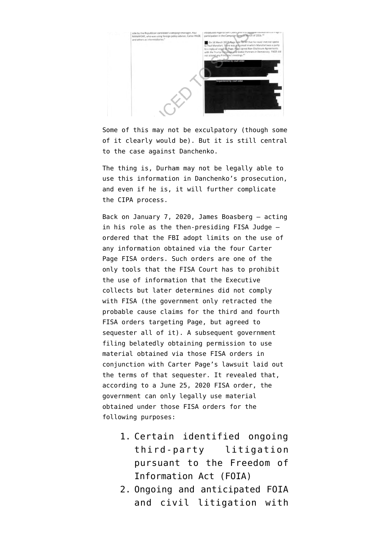

Some of this may not be exculpatory (though some of it clearly would be). But it is still central to the case against Danchenko.

The thing is, Durham may not be legally able to use this information in Danchenko's prosecution, and even if he is, it will further complicate the CIPA process.

Back on January 7, 2020, James Boasberg — acting in his role as the then-presiding FISA Judge [ordered](https://www.fisc.uscourts.gov/sites/default/files/FISC%20Declassifed%20Order%2016-1182%2017-52%2017-375%2017-679%20%20200123.pdf) that the FBI adopt limits on the use of any information obtained via the four Carter Page FISA orders. Such orders are one of the only tools that the FISA Court has to prohibit the use of information that the Executive collects but later determines did not comply with FISA (the government only retracted the probable cause claims for the third and fourth FISA orders targeting Page, but agreed to sequester all of it). A [subsequent government](https://www.fisc.uscourts.gov/sites/default/files/Notice%20of%20Potential%20Use%20or%20Disclosure%20November%203%202020.pdf) [filing](https://www.fisc.uscourts.gov/sites/default/files/Notice%20of%20Potential%20Use%20or%20Disclosure%20November%203%202020.pdf) belatedly obtaining permission to use material obtained via those FISA orders in conjunction with Carter Page's lawsuit laid out the terms of that sequester. It revealed that, according to a June 25, 2020 FISA order, the government can only legally use material obtained under those FISA orders for the following purposes:

- 1. Certain identified ongoing third-party litigation pursuant to the Freedom of Information Act (FOIA)
- 2. Ongoing and anticipated FOIA and civil litigation with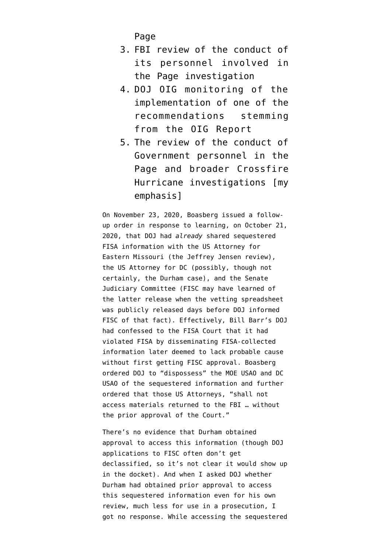Page

- 3. FBI review of the conduct of its personnel involved in the Page investigation
- 4. DOJ OIG monitoring of the implementation of one of the recommendations stemming from the OIG Report
- 5. The review of the conduct of Government personnel in the Page and broader Crossfire Hurricane investigations [my emphasis]

On November 23, 2020, Boasberg issued [a follow](https://www.fisc.uscourts.gov/sites/default/files/Order%20Regarding%20Further%20Disclosures%20of%20Information%20201202.pdf)[up order](https://www.fisc.uscourts.gov/sites/default/files/Order%20Regarding%20Further%20Disclosures%20of%20Information%20201202.pdf) in response to learning, on October 21, 2020, that DOJ had *already* shared sequestered FISA information with the US Attorney for Eastern Missouri (the Jeffrey Jensen review), the US Attorney for DC (possibly, though not certainly, the Durham case), and the Senate Judiciary Committee (FISC may have learned of the latter release when the vetting spreadsheet was publicly released days before DOJ informed FISC of that fact). Effectively, Bill Barr's DOJ had confessed to the FISA Court that it had violated FISA by disseminating FISA-collected information later deemed to lack probable cause without first getting FISC approval. Boasberg ordered DOJ to "dispossess" the MOE USAO and DC USAO of the sequestered information and further ordered that those US Attorneys, "shall not access materials returned to the FBI … without the prior approval of the Court."

There's no evidence that Durham obtained approval to access this information (though DOJ applications to FISC often don't get declassified, so it's not clear it would show up in the docket). And when I asked DOJ whether Durham had obtained prior approval to access this sequestered information even for his own review, much less for use in a prosecution, I got no response. While accessing the sequestered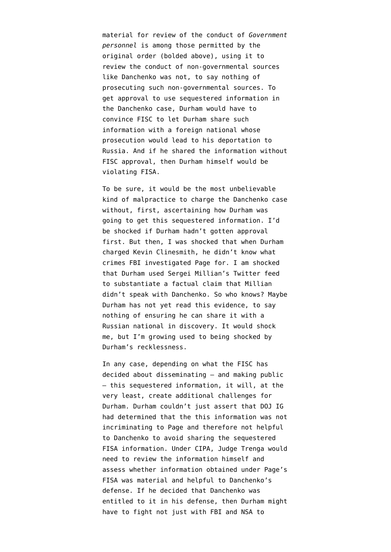material for review of the conduct of *Government personnel* is among those permitted by the original order (bolded above), using it to review the conduct of non-governmental sources like Danchenko was not, to say nothing of prosecuting such non-governmental sources. To get approval to use sequestered information in the Danchenko case, Durham would have to convince FISC to let Durham share such information with a foreign national whose prosecution would lead to his deportation to Russia. And if he shared the information without FISC approval, then Durham himself would be violating FISA.

To be sure, it would be the most unbelievable kind of malpractice to charge the Danchenko case without, first, ascertaining how Durham was going to get this sequestered information. I'd be shocked if Durham hadn't gotten approval first. But then, I was shocked that when Durham charged Kevin Clinesmith, [he didn't know](https://www.emptywheel.net/2020/08/15/the-clinesmith-information-includes-evidence-that-john-durham-misunderstands-his-investigation/) what crimes FBI investigated Page for. I am shocked that Durham [used Sergei Millian's Twitter feed](https://www.emptywheel.net/2021/11/12/source-6a-john-durhams-twitter-charges/) to substantiate a factual claim that Millian didn't speak with Danchenko. So who knows? Maybe Durham has not yet read this evidence, to say nothing of ensuring he can share it with a Russian national in discovery. It would shock me, but I'm growing used to being shocked by Durham's recklessness.

In any case, depending on what the FISC has decided about disseminating — and making public — this sequestered information, it will, at the very least, create additional challenges for Durham. Durham couldn't just assert that DOJ IG had determined that the this information was not incriminating to Page and therefore not helpful to Danchenko to avoid sharing the sequestered FISA information. Under CIPA, Judge Trenga would need to review the information himself and assess whether information obtained under Page's FISA was material and helpful to Danchenko's defense. If he decided that Danchenko was entitled to it in his defense, then Durham might have to fight not just with FBI and NSA to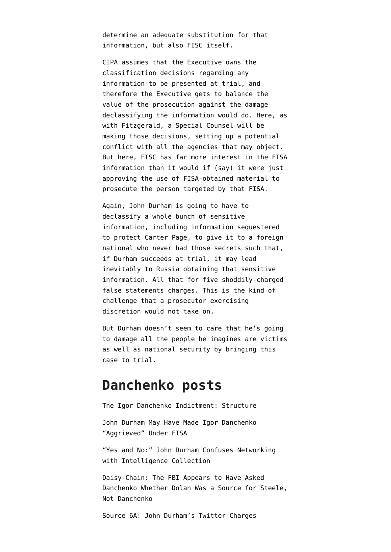determine an adequate substitution for that information, but also FISC itself.

CIPA assumes that the Executive owns the classification decisions regarding any information to be presented at trial, and therefore the Executive gets to balance the value of the prosecution against the damage declassifying the information would do. Here, as with Fitzgerald, a Special Counsel will be making those decisions, setting up a potential conflict with all the agencies that may object. But here, FISC has far more interest in the FISA information than it would if (say) it were just approving the use of FISA-obtained material to prosecute the person targeted by that FISA.

Again, John Durham is going to have to declassify a whole bunch of sensitive information, including information sequestered to protect Carter Page, to give it to a foreign national who never had those secrets such that, if Durham succeeds at trial, it may lead inevitably to Russia obtaining that sensitive information. All that for five [shoddily-charged](https://www.emptywheel.net/2021/11/16/john-durhams-cut-and-paste-failures-and-other-indicies-of-unreliability/) [false statements](https://www.emptywheel.net/2021/11/16/john-durhams-cut-and-paste-failures-and-other-indicies-of-unreliability/) charges. This is the kind of challenge that a prosecutor exercising discretion would not take on.

But Durham doesn't seem to care that he's going to damage all the people he imagines are victims as well as national security by bringing this case to trial.

## **Danchenko posts**

[The Igor Danchenko Indictment: Structure](https://www.emptywheel.net/2021/11/05/the-igor-danchenko-indictment-structure/)

[John Durham May Have Made Igor Danchenko](https://www.emptywheel.net/2021/11/07/john-durham-may-have-made-igor-danchenko-aggrieved-under-fisa/) ["Aggrieved" Under FISA](https://www.emptywheel.net/2021/11/07/john-durham-may-have-made-igor-danchenko-aggrieved-under-fisa/)

["Yes and No:" John Durham Confuses Networking](https://www.emptywheel.net/2021/11/08/yes-and-no-john-durham-claims-an-answer-about-intelligence-collection-covers-all-networking/) [with Intelligence Collection](https://www.emptywheel.net/2021/11/08/yes-and-no-john-durham-claims-an-answer-about-intelligence-collection-covers-all-networking/)

[Daisy-Chain: The FBI Appears to Have Asked](https://www.emptywheel.net/2021/11/11/daisy-chain-the-fbi-appears-to-have-asked-danchenko-whether-dolan-was-a-source-for-steele-not-danchenko/) [Danchenko Whether Dolan Was a Source for Steele,](https://www.emptywheel.net/2021/11/11/daisy-chain-the-fbi-appears-to-have-asked-danchenko-whether-dolan-was-a-source-for-steele-not-danchenko/) [Not Danchenko](https://www.emptywheel.net/2021/11/11/daisy-chain-the-fbi-appears-to-have-asked-danchenko-whether-dolan-was-a-source-for-steele-not-danchenko/)

[Source 6A: John Durham's Twitter Charges](https://www.emptywheel.net/2021/11/12/source-6a-john-durhams-twitter-charges/)